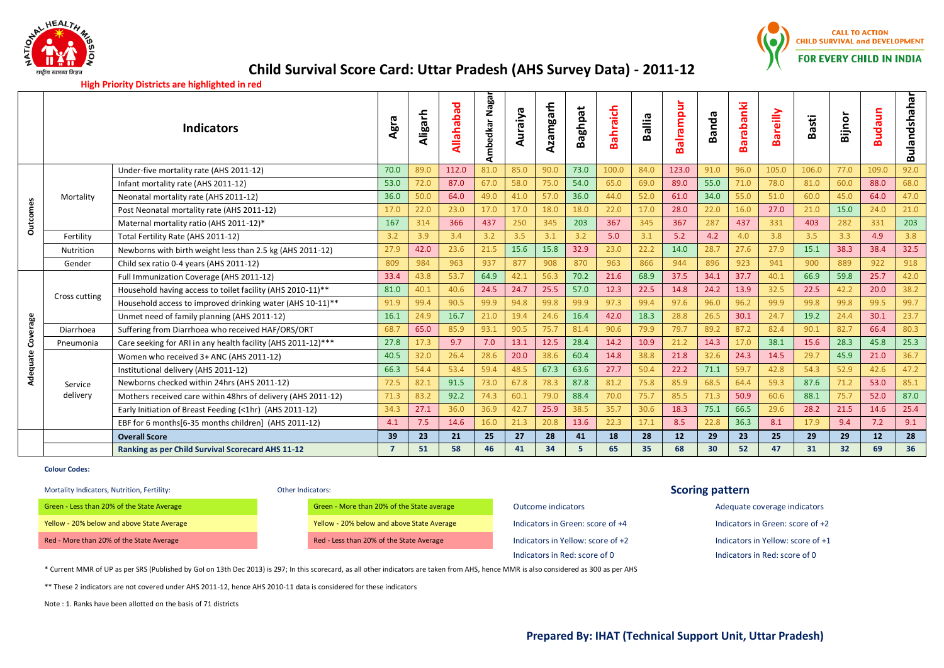



## **High Priority Districts are highlighted in red**

|                 |               | <b>Indicators</b>                                            | ᠭᠣ<br>Agra     | Aligarh | ਠ<br>Allahaba | Ambedkar Nagar | Auraiya | Azamgarh | <b>Baghpat</b> | Bahraich | Ballia | alrampur<br>$\mathbf{a}$ | ത<br>Band <sub>a</sub> | Barabanki | Bareilly | Basti | Bijnor | aun<br>ŝ<br>മ | Bulandshahar |
|-----------------|---------------|--------------------------------------------------------------|----------------|---------|---------------|----------------|---------|----------|----------------|----------|--------|--------------------------|------------------------|-----------|----------|-------|--------|---------------|--------------|
|                 |               | Under-five mortality rate (AHS 2011-12)                      | 70.0           | 89.0    | 112.0         | 81.0           | 85.0    | 90.0     | 73.0           | 100.0    | 84.0   | 123.0                    | 91.0                   | 96.0      | 105.0    | 106.0 | 77.0   | 109.0         | 92.0         |
|                 |               | Infant mortality rate (AHS 2011-12)                          | 53.0           | 72.0    | 87.0          | 67.0           | 58.0    | 75.0     | 54.0           | 65.0     | 69.0   | 89.0                     | 55.0                   | 71.0      | 78.0     | 81.0  | 60.0   | 88.0          | 68.0         |
|                 | Mortality     | Neonatal mortality rate (AHS 2011-12)                        | 36.0           | 50.0    | 64.0          | 49.0           | 41.0    | 57.0     | 36.0           | 44.0     | 52.0   | 61.0                     | 34.0                   | 55.0      | 51.0     | 60.0  | 45.0   | 64.0          | 47.0         |
| <b>Outcomes</b> |               | Post Neonatal mortality rate (AHS 2011-12)                   | 17.0           | 22.0    | 23.0          | 17.0           | 17.0    | 18.0     | 18.0           | 22.0     | 17.0   | 28.0                     | 22.0                   | 16.0      | 27.0     | 21.0  | 15.0   | 24.0          | 21.0         |
|                 |               | Maternal mortality ratio (AHS 2011-12)*                      | 167            | 314     | 366           | 437            | 250     | 345      | 203            | 367      | 345    | 367                      | 287                    | 437       | 331      | 403   | 282    | 331           | 203          |
|                 | Fertility     | Total Fertility Rate (AHS 2011-12)                           | 3.2            | 3.9     | 3.4           | 3.2            | 3.5     | 3.1      | 3.2            | 5.0      | 3.1    | 5.2                      | 4.2                    | 4.0       | 3.8      | 3.5   | 3.3    | 4.9           | 3.8          |
|                 | Nutrition     | Newborns with birth weight less than 2.5 kg (AHS 2011-12)    | 27.9           | 42.0    | 23.6          | 21.5           | 15.6    | 15.8     | 32.9           | 23.0     | 22.2   | 14.0                     | 28.7                   | 27.6      | 27.9     | 15.1  | 38.3   | 38.4          | 32.5         |
|                 | Gender        | Child sex ratio 0-4 years (AHS 2011-12)                      | 809            | 984     | 963           | 937            | 877     | 908      | 870            | 963      | 866    | 944                      | 896                    | 923       | 941      | 900   | 889    | 922           | 918          |
|                 | Cross cutting | Full Immunization Coverage (AHS 2011-12)                     | 33.4           | 43.8    | 53.7          | 64.9           | 42.1    | 56.3     | 70.2           | 21.6     | 68.9   | 37.5                     | 34.1                   | 37.7      | 40.1     | 66.9  | 59.8   | 25.7          | 42.0         |
|                 |               | Household having access to toilet facility (AHS 2010-11)**   | 81.0           | 40.1    | 40.6          | 24.5           | 24.7    | 25.5     | 57.0           | 12.3     | 22.5   | 14.8                     | 24.2                   | 13.9      | 32.5     | 22.5  | 42.2   | 20.0          | 38.2         |
|                 |               | Household access to improved drinking water (AHS 10-11)**    | 91.9           | 99.4    | 90.5          | 99.9           | 94.8    | 99.8     | 99.9           | 97.3     | 99.4   | 97.6                     | 96.0                   | 96.2      | 99.9     | 99.8  | 99.8   | 99.5          | 99.7         |
|                 |               | Unmet need of family planning (AHS 2011-12)                  | 16.1           | 24.9    | 16.7          | 21.0           | 19.4    | 24.6     | 16.4           | 42.0     | 18.3   | 28.8                     | 26.5                   | 30.1      | 24.7     | 19.2  | 24.4   | 30.1          | 23.7         |
| verage          | Diarrhoea     | Suffering from Diarrhoea who received HAF/ORS/ORT            | 68.7           | 65.0    | 85.9          | 93.1           | 90.5    | 75.7     | 81.4           | 90.6     | 79.9   | 79.7                     | 89.2                   | 87.2      | 82.4     | 90.1  | 82.7   | 66.4          | 80.3         |
| 8               | Pneumonia     | Care seeking for ARI in any health facility (AHS 2011-12)*** | 27.8           | 17.3    | 9.7           | 7.0            | 13.1    | 12.5     | 28.4           | 14.2     | 10.9   | 21.2                     | 14.3                   | 17.0      | 38.1     | 15.6  | 28.3   | 45.8          | 25.3         |
| uate            |               | Women who received 3+ ANC (AHS 2011-12)                      | 40.5           | 32.0    | 26.4          | 28.6           | 20.0    | 38.6     | 60.4           | 14.8     | 38.8   | 21.8                     | 32.6                   | 24.3      | 14.5     | 29.7  | 45.9   | 21.0          | 36.7         |
| Adeq            |               | Institutional delivery (AHS 2011-12)                         | 66.3           | 54.4    | 53.4          | 59.4           | 48.5    | 67.3     | 63.6           | 27.7     | 50.4   | 22.2                     | 71.1                   | 59.7      | 42.8     | 54.3  | 52.9   | 42.6          | 47.2         |
|                 | Service       | Newborns checked within 24hrs (AHS 2011-12)                  | 72.5           | 82.1    | 91.5          | 73.0           | 67.8    | 78.3     | 87.8           | 81.2     | 75.8   | 85.9                     | 68.5                   | 64.4      | 59.3     | 87.6  | 71.2   | 53.0          | 85.1         |
|                 | delivery      | Mothers received care within 48hrs of delivery (AHS 2011-12) | 71.3           | 83.2    | 92.2          | 74.3           | 60.1    | 79.0     | 88.4           | 70.0     | 75.7   | 85.5                     | 71.3                   | 50.9      | 60.6     | 88.1  | 75.7   | 52.0          | 87.0         |
|                 |               | Early Initiation of Breast Feeding (<1hr) (AHS 2011-12)      | 34.3           | 27.1    | 36.0          | 36.9           | 42.7    | 25.9     | 38.5           | 35.7     | 30.6   | 18.3                     | 75.1                   | 66.5      | 29.6     | 28.2  | 21.5   | 14.6          | 25.4         |
|                 |               | EBF for 6 months[6-35 months children] (AHS 2011-12)         | 4.1            | 7.5     | 14.6          | 16.0           | 21.3    | 20.8     | 13.6           | 22.3     | 17.1   | 8.5                      | 22.8                   | 36.3      | 8.1      | 17.9  | 9.4    | 7.2           | 9.1          |
|                 |               | <b>Overall Score</b>                                         | 39             | 23      | 21            | 25             | 27      | 28       | 41             | 18       | 28     | 12                       | 29                     | 23        | 25       | 29    | 29     | 12            | 28           |
|                 |               | Ranking as per Child Survival Scorecard AHS 11-12            | $\overline{7}$ | 51      | 58            | 46             | 41      | 34       | 5              | 65       | 35     | 68                       | 30                     | 52        | 47       | 31    | 32     | 69            | 36           |

## **Colour Codes:**

# Mortality Indicators, Nutrition, Fertility: **Scoring pattern**

| <b>Other Indicators:</b> |  |
|--------------------------|--|
|                          |  |

| Green - Less than 20% of the State Average | Green - More than 20% of the State average | Outcome indicators                | Adequate coverage indicators      |
|--------------------------------------------|--------------------------------------------|-----------------------------------|-----------------------------------|
| Yellow - 20% below and above State Average | Yellow - 20% below and above State Average | Indicators in Green: score of +4  | Indicators in Green: score of +2  |
| Red - More than 20% of the State Average   | Red - Less than 20% of the State Average   | Indicators in Yellow: score of +2 | Indicators in Yellow: score of +1 |

Indicators in Red: score of 0 Indicators in Red: score of 0

\* Current MMR of UP as per SRS (Published by GoI on 13th Dec 2013) is 297; In this scorecard, as all other indicators are taken from AHS, hence MMR is also considered as 300 as per AHS

\*\* These 2 indicators are not covered under AHS 2011-12, hence AHS 2010-11 data is considered for these indicators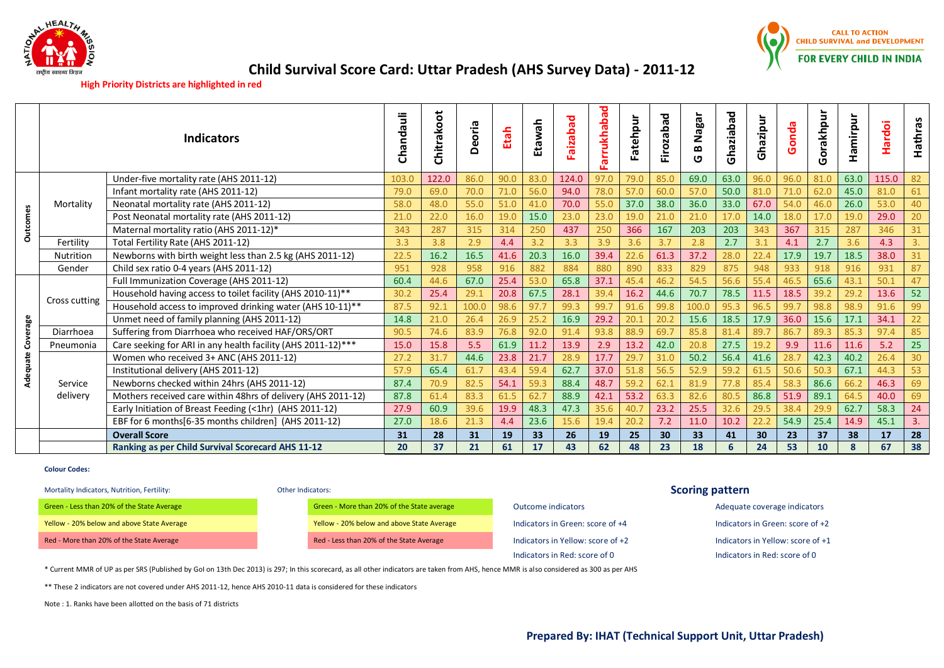



# **High Priority Districts are highlighted in red**

|          |                  | <b>Indicators</b>                                            | Chandauli | Chitrakoot | Deoria | Etah | 유<br>엺 | beqezie | arrukhabad | Fatehpur | Firozabad | Nagar<br>$\boldsymbol{\omega}$<br>ט | Ghaziabad       | Ghazipur | Gonda | Gorakhpur | Hamirpur | <b>Hardoi</b> | Hathras |
|----------|------------------|--------------------------------------------------------------|-----------|------------|--------|------|--------|---------|------------|----------|-----------|-------------------------------------|-----------------|----------|-------|-----------|----------|---------------|---------|
|          |                  | Under-five mortality rate (AHS 2011-12)                      | 103.0     | 122.0      | 86.0   | 90.0 | 83.0   | 124.0   | 97.0       | 79.0     | 85.0      | 69.0                                | 63.0            | 96.0     | 96.0  | 81.0      | 63.0     | 115.0         | 82      |
|          |                  | Infant mortality rate (AHS 2011-12)                          | 79.0      | 69.0       | 70.0   | 71.0 | 56.0   | 94.0    | 78.0       | 57.0     | 60.0      | 57.0                                | 50.0            | 81.0     | 71.0  | 62.0      | 45.0     | 81.0          | 61      |
|          | Mortality        | Neonatal mortality rate (AHS 2011-12)                        | 58.0      | 48.0       | 55.0   | 51.0 | 41.0   | 70.0    | 55.0       | 37.0     | 38.0      | 36.0                                | 33.0            | 67.0     | 54.0  | 46.0      | 26.0     | 53.0          | 40      |
| Outcomes |                  | Post Neonatal mortality rate (AHS 2011-12)                   | 21.0      | 22.0       | 16.0   | 19.0 | 15.0   | 23.0    | 23.0       | 19.0     | 21.0      | 21.0                                | 17 <sub>0</sub> | 14.0     | 18.0  | 17.0      | 19.0     | 29.0          | 20      |
|          |                  | Maternal mortality ratio (AHS 2011-12)*                      | 343       | 287        | 315    | 314  | 250    | 437     | 250        | 366      | 167       | 203                                 | 203             | 343      | 367   | 315       | 287      | 346           | 31      |
|          | Fertility        | Total Fertility Rate (AHS 2011-12)                           | 3.3       | 3.8        | 2.9    | 4.4  | 3.2    | 3.3     | 3.9        | 3.6      | 3.7       | 2.8                                 | 2.7             | 3.1      | 4.1   | 2.7       | 3.6      | 4.3           | 3.      |
|          | <b>Nutrition</b> | Newborns with birth weight less than 2.5 kg (AHS 2011-12)    | 22.5      | 16.2       | 16.5   | 41.6 | 20.3   | 16.0    | 39.4       | 22.6     | 61.3      | 37.2                                | 28.0            | 22.4     | 17.9  | 19.7      | 18.5     | 38.0          | 31      |
|          | Gender           | Child sex ratio 0-4 years (AHS 2011-12)                      | 951       | 928        | 958    | 916  | 882    | 884     | 880        | 890      | 833       | 829                                 | 875             | 948      | 933   | 918       | 916      | 931           | 87      |
|          | Cross cutting    | Full Immunization Coverage (AHS 2011-12)                     | 60.4      | 44.6       | 67.0   | 25.4 | 53.0   | 65.8    | 37.1       | 45.4     | 46.2      | 54.5                                | 56.6            | 55.4     | 46.5  | 65.6      | 43.1     | 50.1          | 47      |
|          |                  | Household having access to toilet facility (AHS 2010-11)**   | 30.2      | 25.4       | 29.1   | 20.8 | 67.5   | 28.1    | 39.4       | 16.2     | 44.6      | 70.7                                | 78.5            | 11.5     | 18.5  | 39.2      | 29.2     | 13.6          | 52      |
|          |                  | Household access to improved drinking water (AHS 10-11)**    | 87.5      | 92.1       | 100.0  | 98.6 | 97.7   | 99.3    | 99.7       | 91.6     | 99.8      | 100.0                               | 95.3            | 96.5     | 99.7  | 98.8      | 98.9     | 91.6          | 99      |
|          |                  | Unmet need of family planning (AHS 2011-12)                  | 14.8      | 21.0       | 26.4   | 26.9 | 25.2   | 16.9    | 29.2       | 20.1     | 20.2      | 15.6                                | 18.5            | 17.9     | 36.0  | 15.6      | 17.1     | 34.1          | 22      |
| Coverage | Diarrhoea        | Suffering from Diarrhoea who received HAF/ORS/ORT            | 90.5      | 74.6       | 83.9   | 76.8 | 92.0   | 91.4    | 93.8       | 88.9     | 69.7      | 85.8                                | 81.4            | 89.7     | 86.7  | 89.3      | 85.3     | 97.4          | 85      |
|          | Pneumonia        | Care seeking for ARI in any health facility (AHS 2011-12)*** | 15.0      | 15.8       | 5.5    | 61.9 | 11.2   | 13.9    | 2.9        | 13.2     | 42.0      | 20.8                                | 27.5            | 19.2     | 9.9   | 11.6      | 11.6     | 5.2           | 25      |
|          |                  | Women who received 3+ ANC (AHS 2011-12)                      | 27.2      | 31.7       | 44.6   | 23.8 | 21.7   | 28.9    | 17.7       | 29.7     | 31.0      | 50.2                                | 56.4            | 41.6     | 28.   | 42.3      | 40.2     | 26.4          | 30      |
| Adequate |                  | Institutional delivery (AHS 2011-12)                         | 57.9      | 65.4       | 61.7   | 43.4 | 59.4   | 62.7    | 37.0       | 51.8     | 56.5      | 52.9                                | 59.2            | 61.5     | 50.6  | 50.3      | 67.1     | 44.3          | 53      |
|          | Service          | Newborns checked within 24hrs (AHS 2011-12)                  | 87.4      | 70.9       | 82.5   | 54.1 | 59.3   | 88.4    | 48.7       | 59.2     | 62.1      | 81.9                                | 77.8            | 85.4     | 58.3  | 86.6      | 66.2     | 46.3          | 69      |
|          | delivery         | Mothers received care within 48hrs of delivery (AHS 2011-12) | 87.8      | 61.4       | 83.3   | 61.5 | 62.7   | 88.9    | 42.1       | 53.2     | 63.3      | 82.6                                | 80.5            | 86.8     | 51.9  | 89.1      | 64.5     | 40.0          | 69      |
|          |                  | Early Initiation of Breast Feeding (<1hr) (AHS 2011-12)      | 27.9      | 60.9       | 39.6   | 19.9 | 48.3   | 47.3    | 35.6       | 40.7     | 23.2      | 25.5                                | 32.6            | 29.5     | 38.4  | 29.9      | 62.7     | 58.3          | 24      |
|          |                  | EBF for 6 months[6-35 months children] (AHS 2011-12)         | 27.0      | 18.6       | 21.3   | 4.4  | 23.6   | 15.6    | 19.4       | 20.2     | 7.2       | 11.0                                | 10.2            | 22.2     | 54.9  | 25.4      | 14.9     | 45.1          | 3.      |
|          |                  | <b>Overall Score</b>                                         | 31        | 28         | 31     | 19   | 33     | 26      | 19         | 25       | 30        | 33                                  | 41              | 30       | 23    | 37        | 38       | 17            | 28      |
|          |                  | <b>Ranking as per Child Survival Scorecard AHS 11-12</b>     | 20        | 37         | 21     | 61   | 17     | 43      | 62         | 48       | 23        | 18                                  | 6               | 24       | 53    | 10        | 8        | 67            | 38      |

### **Colour Codes:**

# Mortality Indicators, Nutrition, Fertility: **Scoring pattern**

|  |  |  | Green - Less than 20% of the State Average |  |
|--|--|--|--------------------------------------------|--|
|  |  |  | Yellow - 20% below and above State Average |  |
|  |  |  |                                            |  |

Green - More than 20% of the State average Creen - More than 20% of the State average indicators Creen - More than 20% of the State average indicators Creen - More than 20% of the State average Yellow - 20% below and above State Average Indicators in Green: score of +4 Indicators in Green: score of +2 Red - More than 20% of the State Average Red - Less than 20% of the State Average Indicators in Yellow: score of +2 Indicators in Yellow: score of +1 Indicators in Yellow: score of +1

# Indicators in Red: score of 0 Indicators in Red: score of 0

\* Current MMR of UP as per SRS (Published by GoI on 13th Dec 2013) is 297; In this scorecard, as all other indicators are taken from AHS, hence MMR is also considered as 300 as per AHS

\*\* These 2 indicators are not covered under AHS 2011-12, hence AHS 2010-11 data is considered for these indicators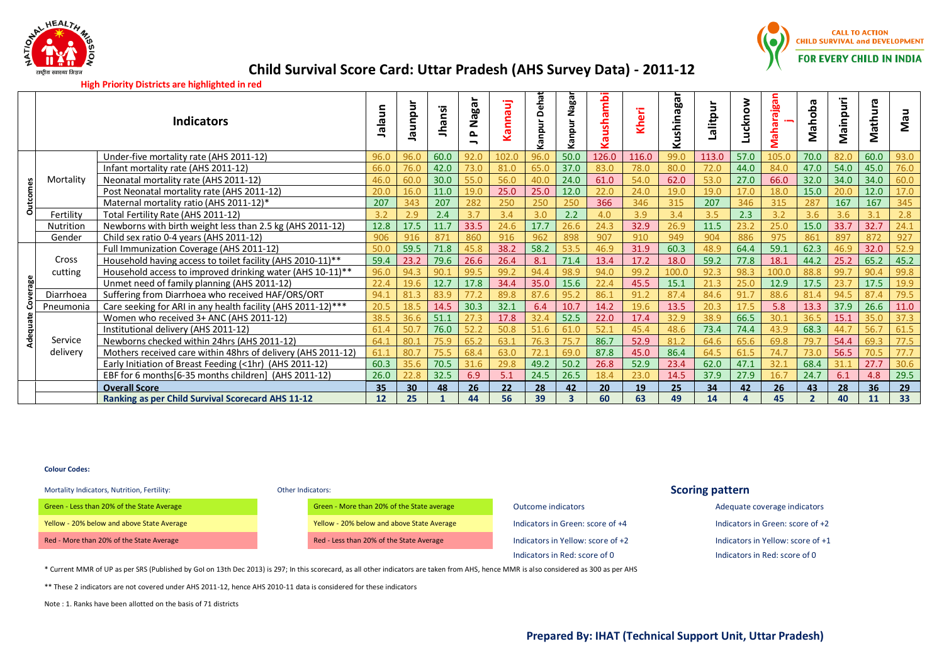



## **High Priority Districts are highlighted in red**

|   |                  | Indicators                                                   | ⊆<br>ത<br>으 | npur<br>ᡴᠣ      | <b>Jhansi</b> | Nagar<br>௳ | Ξ<br>ര<br>⊆<br>c<br>$\bar{S}$ | ēhat<br>$\Omega$<br>mdue <sup>r</sup> | Nagai<br>npur<br>ℒ | ambi<br>$\frac{1}{5}$<br>ത | Έ<br>€ | <b>Ishinaga</b><br>ξ | Lalitp | Lucknow | <b>B</b><br>੶ਛੌ<br>ത<br>흒<br>5 | Mahoba         | Mainpuri | Mathura | Nau  |
|---|------------------|--------------------------------------------------------------|-------------|-----------------|---------------|------------|-------------------------------|---------------------------------------|--------------------|----------------------------|--------|----------------------|--------|---------|--------------------------------|----------------|----------|---------|------|
|   |                  | Under-five mortality rate (AHS 2011-12)                      | 96.0        | 96.0            | 60.0          | 92.0       | 102.0                         | 96.0                                  | 50.0               | 126.0                      | 116.0  | 99.0                 | 113.0  | 57.0    | 105.0                          | 70.0           | 82.0     | 60.0    | 93.0 |
|   |                  | Infant mortality rate (AHS 2011-12)                          | 66.0        | 76.0            | 42.0          | 73.0       | 81.0                          | 65.0                                  | 37.0               | 83.0                       | 78.0   | 80.0                 | 72.0   | 44.0    | 84.0                           | 47.0           | 54.0     | 45.0    | 76.0 |
|   | Mortality        | Neonatal mortality rate (AHS 2011-12)                        | 46.0        | 60.0            | 30.0          | 55.0       | 56.0                          | 40.0                                  | 24.0               | 61.0                       | 54.0   | 62.0                 | 53.0   | 27.0    | 66.0                           | 32.0           | 34.0     | 34.0    | 60.0 |
|   |                  | Post Neonatal mortality rate (AHS 2011-12)                   | 20.0        | 16.0            | 11.0          | 19.0       | 25.0                          | 25.0                                  | 12.0               | 22.0                       | 24.0   | 19.0                 | 19.0   | 17.0    | 18.0                           | 15.0           | 20.0     | 12.0    | 17.0 |
|   |                  | Maternal mortality ratio (AHS 2011-12)*                      | 207         | 343             | 207           | 282        | 250                           | 250                                   | 250                | 366                        | 346    | 315                  | 207    | 346     | 315                            | 287            | 167      | 167     | 345  |
| o | Fertility        | Total Fertility Rate (AHS 2011-12)                           | 3.2         | 2.9             | 2.4           | 3.7        | 3.4                           | 3.0                                   | 2.2                | 4.0                        | 3.9    | 3.4                  | 3.5    | 2.3     | 3.2                            | 3.6            | 3.6      | 3.1     | 2.8  |
|   | Nutrition        | Newborns with birth weight less than 2.5 kg (AHS 2011-12)    | 12.8        | 17.5            | 11.7          | 33.5       | 24.6                          | 17.7                                  | 26.6               | 24.3                       | 32.9   | 26.9                 | 11.5   | 23.2    | 25.0                           | 15.0           | 33.7     | 32.7    | 24.1 |
|   | Gender           | Child sex ratio 0-4 years (AHS 2011-12)                      | 906         | 916             | 871           | 860        | 916                           | 962                                   | 898                | 907                        | 910    | 949                  | 904    | 886     | 975                            | 861            | 897      | 872     | 927  |
|   |                  | Full Immunization Coverage (AHS 2011-12)                     | 50.0        | 59.5            | 71.8          | 45.8       | 38.2                          | 58.2                                  | 53.5               | 46.9                       | 31.9   | 60.3                 | 48.9   | 64.4    | 59.1                           | 62.3           | 46.9     | 32.0    | 52.9 |
|   | Cross<br>cutting | Household having access to toilet facility (AHS 2010-11)**   | 59.4        | 23.2            | 79.6          | 26.6       | 26.4                          | 8.1                                   | 71.4               | 13.4                       | 17.2   | 18.0                 | 59.2   | 77.8    | 18.1                           | 44.2           | 25.2     | 65.2    | 45.2 |
|   |                  | Household access to improved drinking water (AHS 10-11)**    | 96.0        | 94.3            | 90.           | 99.5       | 99.2                          | 94.4                                  | 98.9               | 94.0                       | 99.2   | 100.0                | 92.3   | 98.3    | 100.0                          | 88.8           | 99.7     | 90.4    | 99.8 |
|   |                  | Unmet need of family planning (AHS 2011-12)                  | 22.4        | 19.6            | 12.7          | 17.8       | 34.4                          | 35.0                                  | 15.6               | 22.4                       | 45.5   | 15.1                 | 21.3   | 25.0    | 12.9                           | 17.5           | 23.7     | 17.5    | 19.9 |
|   | Diarrhoea        | Suffering from Diarrhoea who received HAF/ORS/ORT            | 94.1        | 81.3            | 83.9          | 77.2       | 89.8                          | 87.6                                  | 95.2               | 86.1                       | 91.2   | 87.4                 | 84.6   | 91.7    | 88.6                           | 81.4           | 94.5     | 87      | 79.5 |
|   | Pneumonia        | Care seeking for ARI in any health facility (AHS 2011-12)*** | 20.5        | 18.5            | 14.5          | 30.3       | 32.1                          | 6.4                                   | 10.7               | 14.2                       | 19.6   | 13.5                 | 20.3   | 17.5    | 5.8                            | 13.3           | 37.9     | 26.6    | 11.0 |
|   |                  | Women who received 3+ ANC (AHS 2011-12)                      | 38.5        | 36.6            | 51.1          | 27.3       | 17.8                          | 32.4                                  | 52.5               | 22.0                       | 17.4   | 32.9                 | 38.9   | 66.5    | 30.1                           | 36.5           | 15.1     | 35.0    | 37.3 |
|   |                  | Institutional delivery (AHS 2011-12)                         | 61.4        | 50.7            | 76.0          | 52.2       | 50.8                          | 51.6                                  | 61.0               | 52.1                       | 45.4   | 48.6                 | 73.4   | 74.4    | 43.9                           | 68.3           | 44.7     | 56.7    | 61.5 |
|   | Service          | Newborns checked within 24hrs (AHS 2011-12)                  | 64.1        | 80.             | 75.9          | 65.2       | 63.1                          | 76.3                                  | 75.7               | 86.7                       | 52.9   | 81.2                 | 64.6   | 65.6    | 69.8                           | 79.            | 54.4     | 69.3    | 77.5 |
|   | delivery         | Mothers received care within 48hrs of delivery (AHS 2011-12) | 61.1        | 80.7            | 75.5          | 68.4       | 63.0                          | 72.1                                  | 69.0               | 87.8                       | 45.0   | 86.4                 | 64.5   | 61.5    | 74.7                           | 73.0           | 56.5     |         | 77.7 |
|   |                  | Early Initiation of Breast Feeding (<1hr) (AHS 2011-12)      | 60.3        | 35.6            | 70.5          | 31.6       | 29.8                          | 49.2                                  | 50.2               | 26.8                       | 52.9   | 23.4                 | 62.0   | 47.1    | 32.1                           | 68.4           | 31.1     | 27.7    | 30.6 |
|   |                  | EBF for 6 months [6-35 months children] (AHS 2011-12)        | 26.0        | 22.8            | 32.5          | 6.9        | 5.1                           | 24.5                                  | 26.5               | 18.4                       | 23.0   | 14.5                 | 37.9   | 27.9    | 16.7                           | 24.7           | 6.1      | 4.8     | 29.5 |
|   |                  | <b>Overall Score</b>                                         | 35          | 30 <sup>°</sup> | 48            | 26         | 22                            | 28                                    | 42                 | 20                         | 19     | 25                   | 34     | 42      | 26                             | 43             | 28       | 36      | 29   |
|   |                  | Ranking as per Child Survival Scorecard AHS 11-12            | 12          | 25              |               | 44         | 56                            | 39                                    | $\mathbf{R}$       | 60                         | 63     | 49                   | 14     |         | 45                             | $\overline{2}$ | 40       | 11      | 33   |

### **Colour Codes:**

# Mortality Indicators, Nutrition, Fertility: **Scoring pattern**

Green - Less than 20% of the State Average Creen Coverage Creen - More than 20% of the State average Cutcome indicators Adequate coverage indicators Adequate coverage indicators

Yellow - 20% below and above State Average Yellow - 20% below and above State Average Indicators in Green: score of +4 Indicators in Green: score of +2 Red - More than 20% of the State Average Red - Less than 20% of the State Average Indicators in Yellow: score of +2 Indicators in Yellow: score of +1 Indicators in Red: score of 0 Indicators in Red: score of 0

\* Current MMR of UP as per SRS (Published by GoI on 13th Dec 2013) is 297; In this scorecard, as all other indicators are taken from AHS, hence MMR is also considered as 300 as per AHS

\*\* These 2 indicators are not covered under AHS 2011-12, hence AHS 2010-11 data is considered for these indicators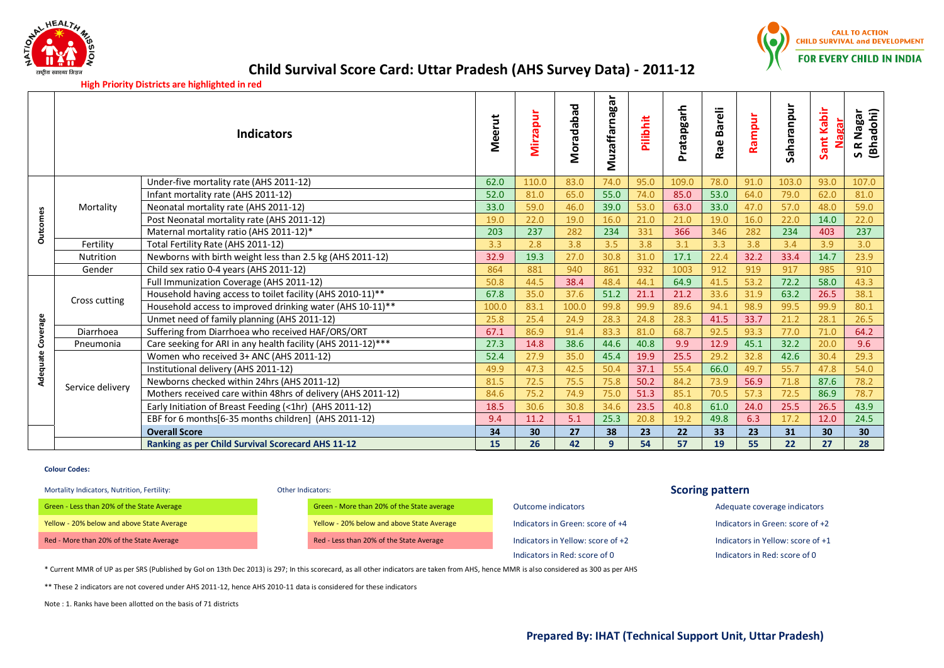



**High Priority Districts are highlighted in red**

|                 |                  | <b>Indicators</b>                                            | Meerut | Mirzapur        | Moradabad | Muzaffarnagar | Pilibhit | Pratapgarh | <b>Bareli</b><br>Rae | Rampur | Saharanpur | Sant Kabir<br>Nagar | S R Nagar<br>(Bhadohi)<br>R Nagar |
|-----------------|------------------|--------------------------------------------------------------|--------|-----------------|-----------|---------------|----------|------------|----------------------|--------|------------|---------------------|-----------------------------------|
|                 |                  | Under-five mortality rate (AHS 2011-12)                      | 62.0   | 110.0           | 83.0      | 74.0          | 95.0     | 109.0      | 78.0                 | 91.0   | 103.0      | 93.0                | 107.0                             |
|                 |                  | Infant mortality rate (AHS 2011-12)                          | 52.0   | 81.0            | 65.0      | 55.0          | 74.0     | 85.0       | 53.0                 | 64.0   | 79.0       | 62.0                | 81.0                              |
|                 | Mortality        | Neonatal mortality rate (AHS 2011-12)                        | 33.0   | 59.0            | 46.0      | 39.0          | 53.0     | 63.0       | 33.0                 | 47.0   | 57.0       | 48.0                | 59.0                              |
|                 |                  | Post Neonatal mortality rate (AHS 2011-12)                   | 19.0   | 22.0            | 19.0      | 16.0          | 21.0     | 21.0       | 19.0                 | 16.0   | 22.0       | 14.0                | 22.0                              |
| <b>Outcomes</b> |                  | Maternal mortality ratio (AHS 2011-12)*                      | 203    | 237             | 282       | 234           | 331      | 366        | 346                  | 282    | 234        | 403                 | 237                               |
|                 | Fertility        | Total Fertility Rate (AHS 2011-12)                           | 3.3    | 2.8             | 3.8       | 3.5           | 3.8      | 3.1        | 3.3                  | 3.8    | 3.4        | 3.9                 | 3.0                               |
|                 | <b>Nutrition</b> | Newborns with birth weight less than 2.5 kg (AHS 2011-12)    | 32.9   | 19.3            | 27.0      | 30.8          | 31.0     | 17.1       | 22.4                 | 32.2   | 33.4       | 14.7                | 23.9                              |
|                 | Gender           | Child sex ratio 0-4 years (AHS 2011-12)                      | 864    | 881             | 940       | 861           | 932      | 1003       | 912                  | 919    | 917        | 985                 | 910                               |
|                 |                  | Full Immunization Coverage (AHS 2011-12)                     | 50.8   | 44.5            | 38.4      | 48.4          | 44.1     | 64.9       | 41.5                 | 53.2   | 72.2       | 58.0                | 43.3                              |
|                 | Cross cutting    | Household having access to toilet facility (AHS 2010-11)**   | 67.8   | 35.0            | 37.6      | 51.2          | 21.1     | 21.2       | 33.6                 | 31.9   | 63.2       | 26.5                | 38.1                              |
|                 |                  | Household access to improved drinking water (AHS 10-11)**    | 100.0  | 83.1            | 100.0     | 99.8          | 99.9     | 89.6       | 94.1                 | 98.9   | 99.5       | 99.9                | 80.1                              |
|                 |                  | Unmet need of family planning (AHS 2011-12)                  | 25.8   | 25.4            | 24.9      | 28.3          | 24.8     | 28.3       | 41.5                 | 33.7   | 21.2       | 28.1                | 26.5                              |
| Coverage        | Diarrhoea        | Suffering from Diarrhoea who received HAF/ORS/ORT            | 67.1   | 86.9            | 91.4      | 83.3          | 81.0     | 68.7       | 92.5                 | 93.3   | 77.0       | 71.0                | 64.2                              |
|                 | Pneumonia        | Care seeking for ARI in any health facility (AHS 2011-12)*** | 27.3   | 14.8            | 38.6      | 44.6          | 40.8     | 9.9        | 12.9                 | 45.1   | 32.2       | 20.0                | 9.6                               |
| Adequate        |                  | Women who received 3+ ANC (AHS 2011-12)                      | 52.4   | 27.9            | 35.0      | 45.4          | 19.9     | 25.5       | 29.2                 | 32.8   | 42.6       | 30.4                | 29.3                              |
|                 |                  | Institutional delivery (AHS 2011-12)                         | 49.9   | 47.3            | 42.5      | 50.4          | 37.1     | 55.4       | 66.0                 | 49.7   | 55.7       | 47.8                | 54.0                              |
|                 | Service delivery | Newborns checked within 24hrs (AHS 2011-12)                  | 81.5   | 72.5            | 75.5      | 75.8          | 50.2     | 84.2       | 73.9                 | 56.9   | 71.8       | 87.6                | 78.2                              |
|                 |                  | Mothers received care within 48hrs of delivery (AHS 2011-12) | 84.6   | 75.2            | 74.9      | 75.0          | 51.3     | 85.1       | 70.5                 | 57.3   | 72.5       | 86.9                | 78.7                              |
|                 |                  | Early Initiation of Breast Feeding (<1hr) (AHS 2011-12)      | 18.5   | 30.6            | 30.8      | 34.6          | 23.5     | 40.8       | 61.0                 | 24.0   | 25.5       | 26.5                | 43.9                              |
|                 |                  | EBF for 6 months[6-35 months children] (AHS 2011-12)         | 9.4    | 11.2            | 5.1       | 25.3          | 20.8     | 19.2       | 49.8                 | 6.3    | 17.2       | 12.0                | 24.5                              |
|                 |                  | <b>Overall Score</b>                                         | 34     | 30 <sup>°</sup> | 27        | 38            | 23       | 22         | 33                   | 23     | 31         | 30                  | 30 <sup>°</sup>                   |
|                 |                  | <b>Ranking as per Child Survival Scorecard AHS 11-12</b>     | 15     | 26              | 42        | 9             | 54       | 57         | 19                   | 55     | 22         | 27                  | 28                                |

## **Colour Codes:**

# Mortality Indicators, Nutrition, Fertility: **Scoring pattern**

Green - Less than 20% of the State Average Creen Coverage Creen - More than 20% of the State average Cutcome indicators Adequate coverage indicators Adequate coverage indicators Yellow - 20% below and above State Average Yellow - 20% below and above State Average Indicators in Green: score of +4 Indicators in Green: score of +2 Red - More than 20% of the State Average Red - Less than 20% of the State Average Indicators in Yellow: score of +2 Indicators in Yellow: score of +1 Indicators in Yellow: score of +1

Indicators in Red: score of 0 Indicators in Red: score of 0

\* Current MMR of UP as per SRS (Published by GoI on 13th Dec 2013) is 297; In this scorecard, as all other indicators are taken from AHS, hence MMR is also considered as 300 as per AHS

\*\* These 2 indicators are not covered under AHS 2011-12, hence AHS 2010-11 data is considered for these indicators